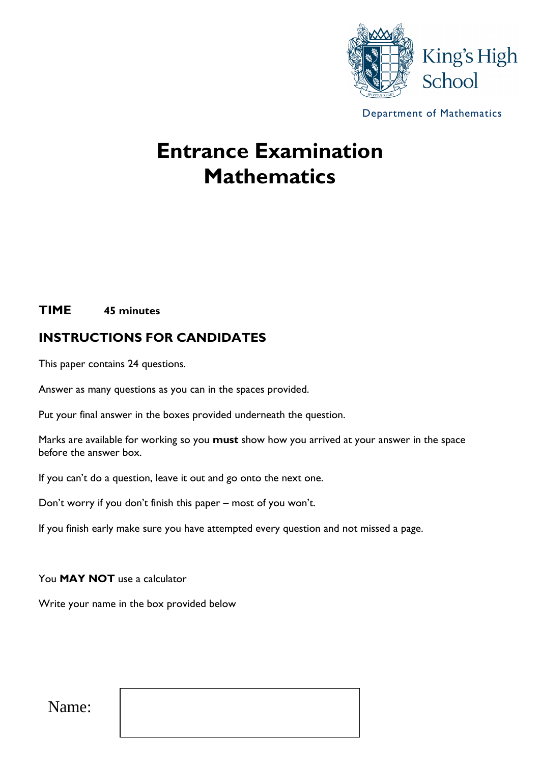

Department of Mathematics

# **Entrance Examination Mathematics**

#### **TIME 45 minutes**

# **INSTRUCTIONS FOR CANDIDATES**

This paper contains 24 questions.

Answer as many questions as you can in the spaces provided.

Put your final answer in the boxes provided underneath the question.

Marks are available for working so you **must** show how you arrived at your answer in the space before the answer box.

If you can't do a question, leave it out and go onto the next one.

Don't worry if you don't finish this paper – most of you won't.

If you finish early make sure you have attempted every question and not missed a page.

You **MAY NOT** use a calculator

Write your name in the box provided below

Name: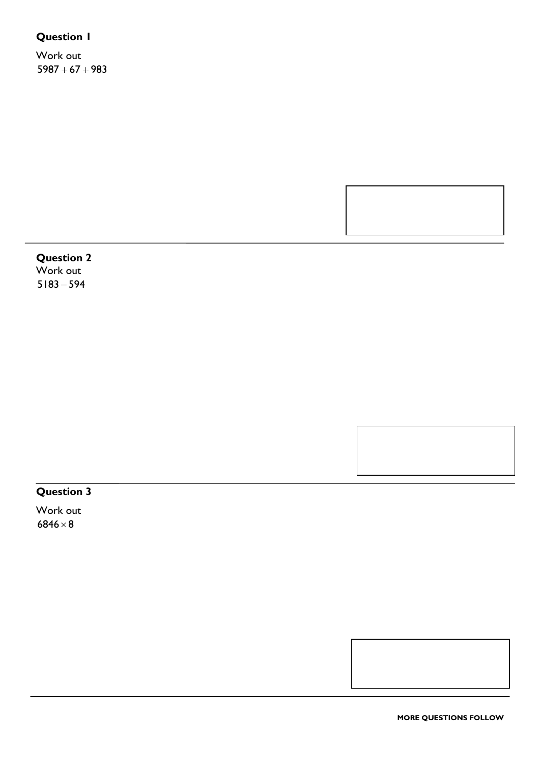Work out  $5987 + 67 + 983$ 

# **Question 2**

Work out  $5183 - 594$ 

#### **Question 3**

Work out  $6846\times8$ 

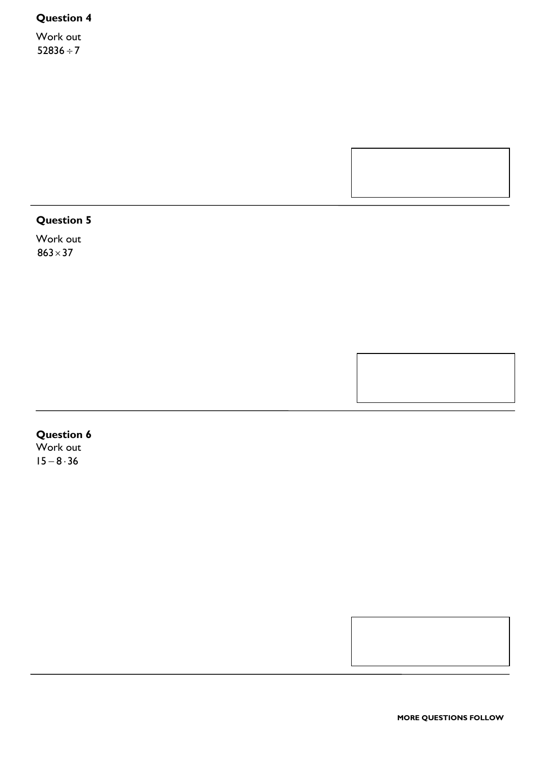Work out  $52836 \div 7$ 

# **Question 5**

Work out  $863 \times 37$ 

# **Question 6**

Work out  $15 - 8 \cdot 36$ 

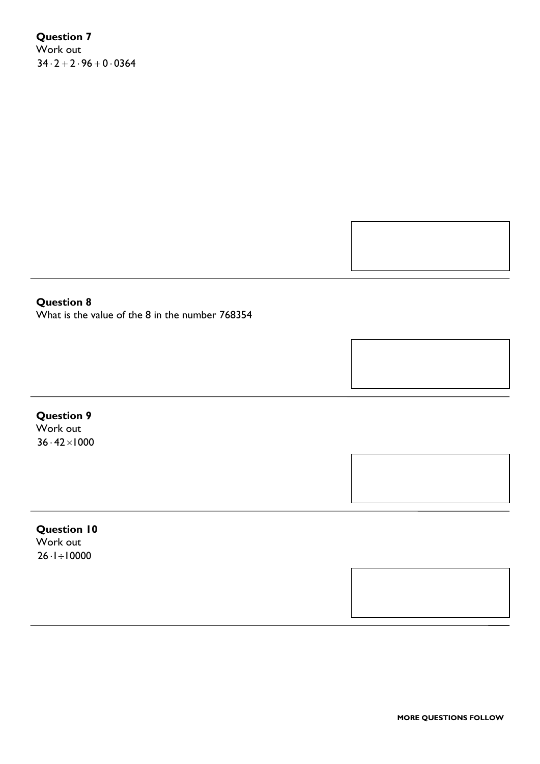# **Question 7** Work out

 $34 \cdot 2 + 2 \cdot 96 + 0 \cdot 0364$ 



#### **Question 8**

What is the value of the 8 in the number 768354

# **Question 9**

Work out  $36 \cdot 42 \times 1000$ 

#### **Question 10**

Work out  $26 \cdot 1 \div 10000$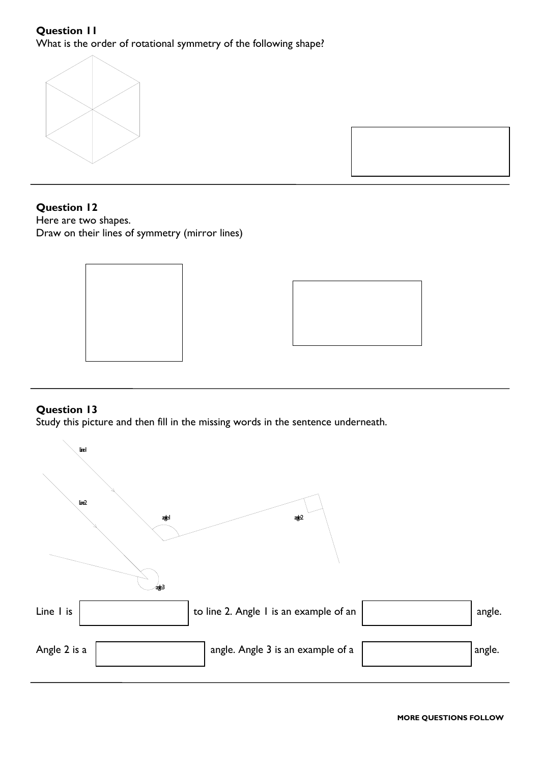What is the order of rotational symmetry of the following shape?



#### **Question 12**

Here are two shapes. Draw on their lines of symmetry (mirror lines)





#### **Question 13**

Study this picture and then fill in the missing words in the sentence underneath.

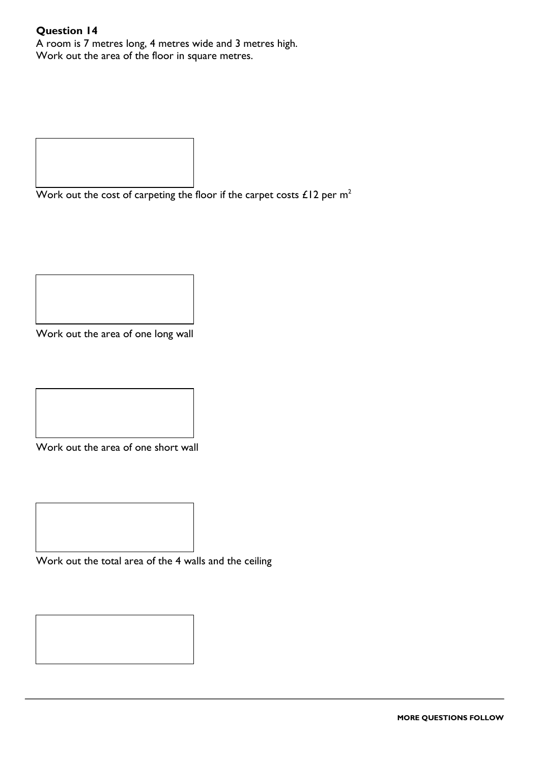A room is 7 metres long, 4 metres wide and 3 metres high. Work out the area of the floor in square metres.

Work out the cost of carpeting the floor if the carpet costs  $£12$  per m<sup>2</sup>

Work out the area of one long wall

Work out the area of one short wall

Work out the total area of the 4 walls and the ceiling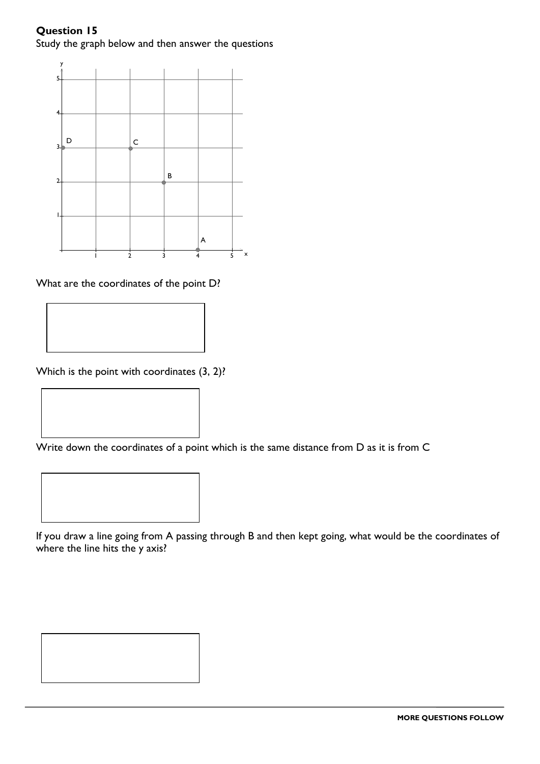#### **Question 15** Study the graph below and then answer the questions



What are the coordinates of the point D?

Which is the point with coordinates  $(3, 2)$ ?

Write down the coordinates of a point which is the same distance from D as it is from C



If you draw a line going from A passing through B and then kept going, what would be the coordinates of where the line hits the y axis?

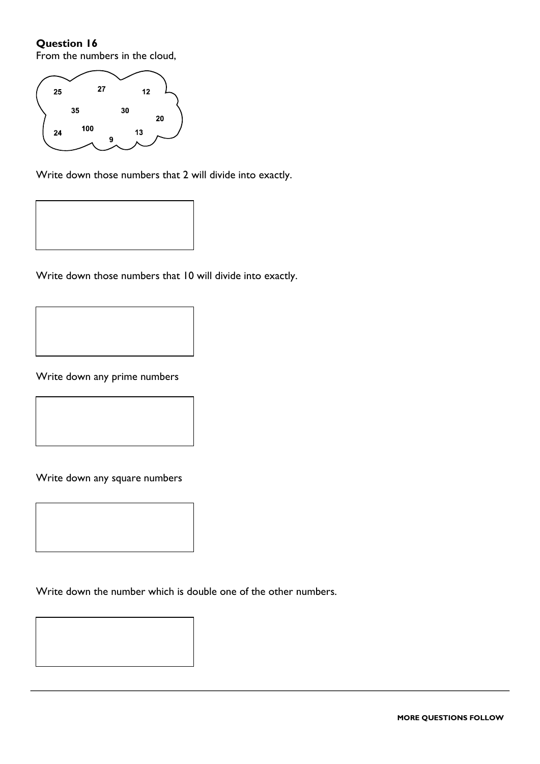From the numbers in the cloud,



Write down those numbers that 2 will divide into exactly.



Write down those numbers that 10 will divide into exactly.

Write down any prime numbers

Write down any square numbers

Write down the number which is double one of the other numbers.

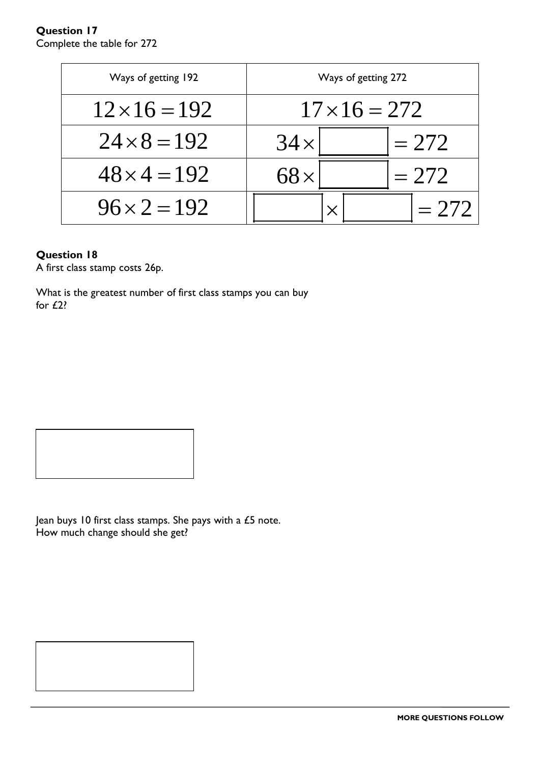#### **Question 17** Complete the table for 272

| Ways of getting 192  | Ways of getting 272   |
|----------------------|-----------------------|
| $12 \times 16 = 192$ | $17 \times 16 = 272$  |
| $24 \times 8 = 192$  | $= 272$<br>$34\times$ |
| $48 \times 4 = 192$  | $= 272$               |
| $96 \times 2 = 192$  |                       |

#### **Question 18**

A first class stamp costs 26p.

What is the greatest number of first class stamps you can buy for £2?

Jean buys 10 first class stamps. She pays with a £5 note. How much change should she get?

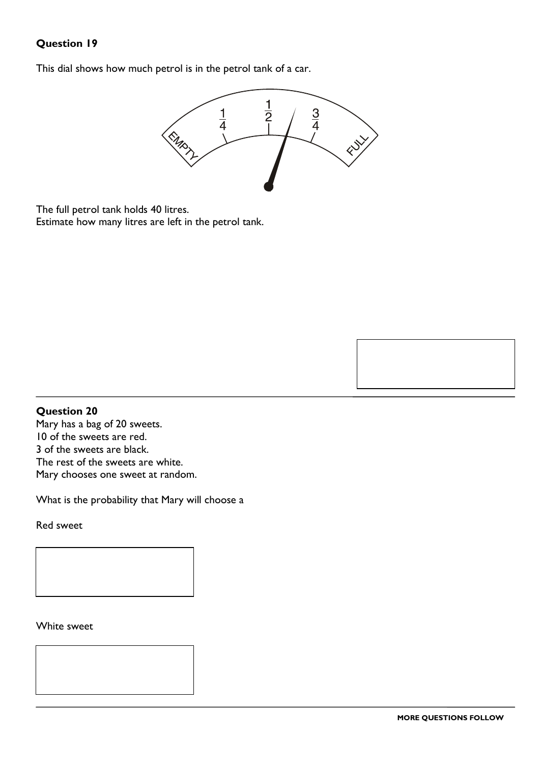This dial shows how much petrol is in the petrol tank of a car.



The full petrol tank holds 40 litres. Estimate how many litres are left in the petrol tank.

#### **Question 20**

Mary has a bag of 20 sweets. 10 of the sweets are red. 3 of the sweets are black. The rest of the sweets are white. Mary chooses one sweet at random.

What is the probability that Mary will choose a

Red sweet

White sweet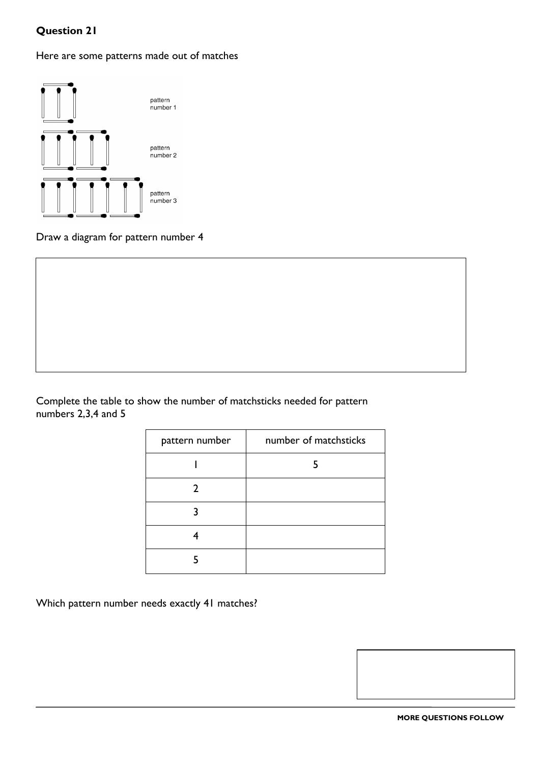Here are some patterns made out of matches



Draw a diagram for pattern number 4

Complete the table to show the number of matchsticks needed for pattern numbers 2,3,4 and 5

| pattern number | number of matchsticks |
|----------------|-----------------------|
|                |                       |
| 2              |                       |
|                |                       |
|                |                       |
|                |                       |

Which pattern number needs exactly 41 matches?

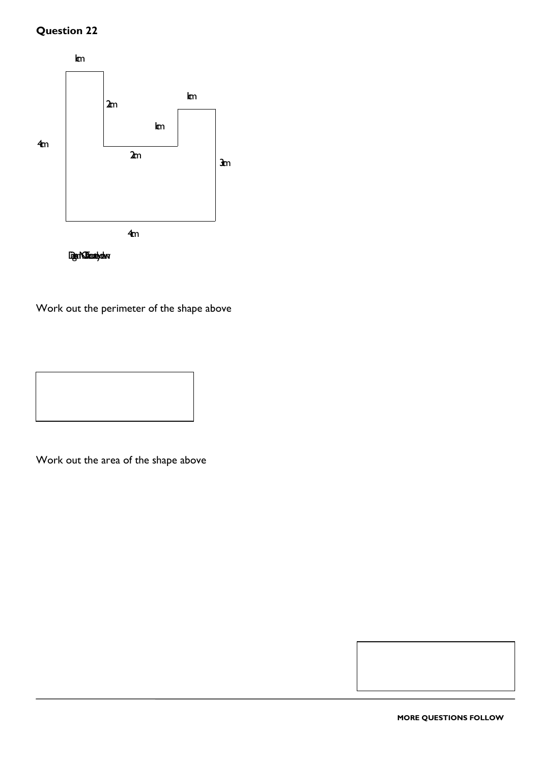

Work out the perimeter of the shape above



Work out the area of the shape above

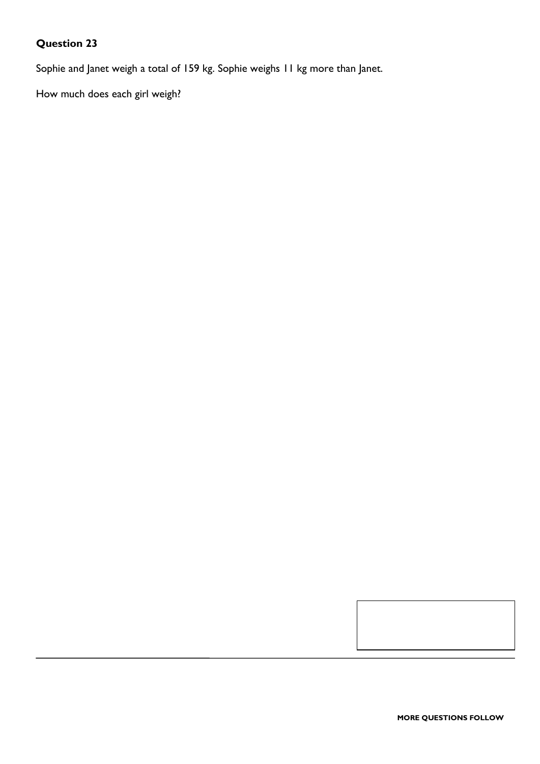Sophie and Janet weigh a total of 159 kg. Sophie weighs 11 kg more than Janet.

How much does each girl weigh?